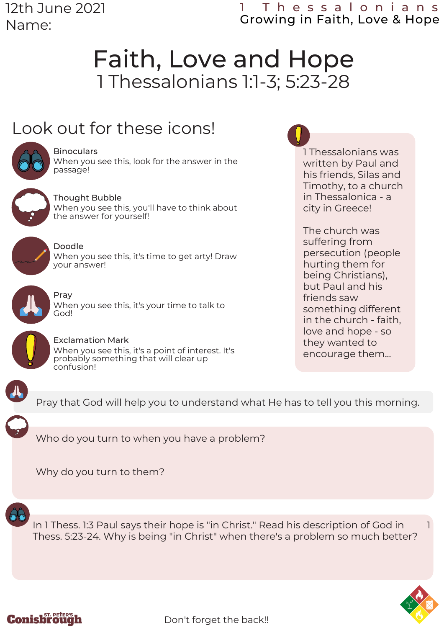12th June 2021 Name:

### 1 T h e s s a l o n i a n s Growing in Faith, Love & Hope

1 Thessalonians was written by Paul and his friends, Silas and Timothy, to a church in Thessalonica - a

city in Greece!

The church was suffering from

friends saw

persecution (people hurting them for being Christians), but Paul and his

something different in the church - faith, love and hope - so they wanted to encourage them...

# Faith, Love and Hope 1 Thessalonians 1:1-3; 5:23-28

## Look out for these icons!



#### **Binoculars** When you see this, look for the answer in the passage!



Thought Bubble When you see this, you'll have to think about the answer for yourself!



Doodle When you see this, it's time to get arty! Draw your answer!



Pray

When you see this, it's your time to talk to God!



Exclamation Mark When you see this, it's a point of interest. It's probably something that will clear up confusion!



Pray that God will help you to understand what He has to tell you this morning.

Who do you turn to when you have a problem?

Why do you turn to them?



In 1 Thess. 1:3 Paul says their hope is "in Christ." Read his description of God in 1 Thess. 5:23-24. Why is being "in Christ" when there's a problem so much better?